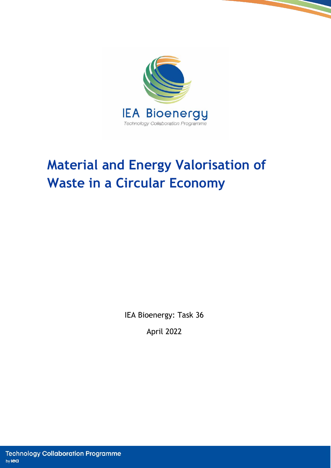

# **Material and Energy Valorisation of Waste in a Circular Economy**

IEA Bioenergy: Task 36

April 2022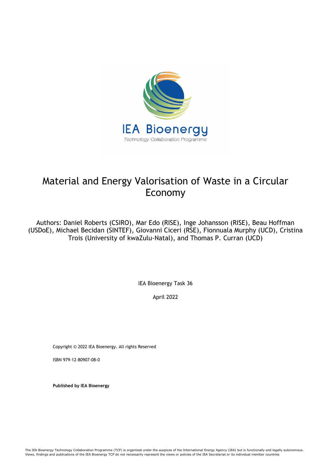

# Material and Energy Valorisation of Waste in a Circular Economy

Authors: Daniel Roberts (CSIRO), Mar Edo (RISE), Inge Johansson (RISE), Beau Hoffman (USDoE), Michael Becidan (SINTEF), Giovanni Ciceri (RSE), Fionnuala Murphy (UCD), Cristina Trois (University of kwaZulu-Natal), and Thomas P. Curran (UCD)

IEA Bioenergy Task 36

April 2022

Copyright © 2022 IEA Bioenergy. All rights Reserved

ISBN 979-12-80907-08-0

**Published by IEA Bioenergy**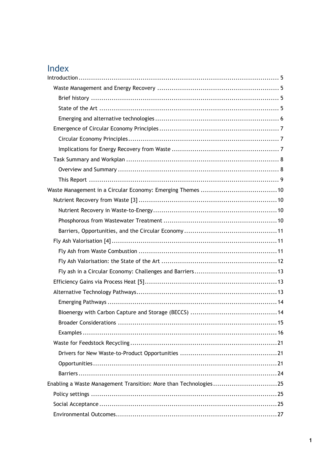# Index

| Enabling a Waste Management Transition: More than Technologies25 |  |
|------------------------------------------------------------------|--|
|                                                                  |  |
|                                                                  |  |
|                                                                  |  |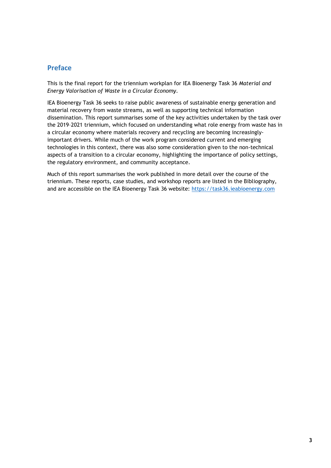#### **Preface**

This is the final report for the triennium workplan for IEA Bioenergy Task 36 *Material and Energy Valorisation of Waste in a Circular Economy*.

IEA Bioenergy Task 36 seeks to raise public awareness of sustainable energy generation and material recovery from waste streams, as well as supporting technical information dissemination. This report summarises some of the key activities undertaken by the task over the 2019–2021 triennium, which focused on understanding what role energy from waste has in a circular economy where materials recovery and recycling are becoming increasinglyimportant drivers. While much of the work program considered current and emerging technologies in this context, there was also some consideration given to the non-technical aspects of a transition to a circular economy, highlighting the importance of policy settings, the regulatory environment, and community acceptance.

Much of this report summarises the work published in more detail over the course of the triennium. These reports, case studies, and workshop reports are listed in the Bibliography, and are accessible on the IEA Bioenergy Task 36 website: [https://task36.ieabioenergy.com](https://task36.ieabioenergy.com/)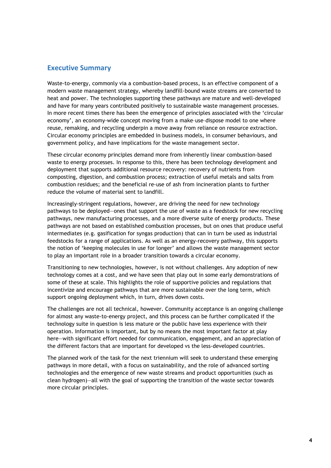#### **Executive Summary**

Waste-to-energy, commonly via a combustion-based process, is an effective component of a modern waste management strategy, whereby landfill-bound waste streams are converted to heat and power. The technologies supporting these pathways are mature and well-developed and have for many years contributed positively to sustainable waste management processes. In more recent times there has been the emergence of principles associated with the 'circular economy', an economy-wide concept moving from a make–use–dispose model to one where reuse, remaking, and recycling underpin a move away from reliance on resource extraction. Circular economy principles are embedded in business models, in consumer behaviours, and government policy, and have implications for the waste management sector.

These circular economy principles demand more from inherently linear combustion-based waste to energy processes. In response to this, there has been technology development and deployment that supports additional resource recovery: recovery of nutrients from composting, digestion, and combustion process; extraction of useful metals and salts from combustion residues; and the beneficial re-use of ash from incineration plants to further reduce the volume of material sent to landfill.

Increasingly-stringent regulations, however, are driving the need for new technology pathways to be deployed—ones that support the use of waste as a feedstock for new recycling pathways, new manufacturing processes, and a more diverse suite of energy products. These pathways are not based on established combustion processes, but on ones that produce useful intermediates (e.g. gasification for syngas production) that can in turn be used as industrial feedstocks for a range of applications. As well as an energy-recovery pathway, this supports the notion of 'keeping molecules in use for longer' and allows the waste management sector to play an important role in a broader transition towards a circular economy.

Transitioning to new technologies, however, is not without challenges. Any adoption of new technology comes at a cost, and we have seen that play out in some early demonstrations of some of these at scale. This highlights the role of supportive policies and regulations that incentivize and encourage pathways that are more sustainable over the long term, which support ongoing deployment which, in turn, drives down costs.

The challenges are not all technical, however. Community acceptance is an ongoing challenge for almost any waste-to-energy project, and this process can be further complicated if the technology suite in question is less mature or the public have less experience with their operation. Information is important, but by no means the most important factor at play here—with significant effort needed for communication, engagement, and an appreciation of the different factors that are important for developed vs the less-developed countries.

The planned work of the task for the next triennium will seek to understand these emerging pathways in more detail, with a focus on sustainability, and the role of advanced sorting technologies and the emergence of new waste streams and product opportunities (such as clean hydrogen)—all with the goal of supporting the transition of the waste sector towards more circular principles.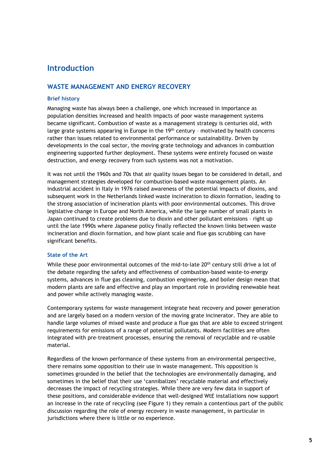## <span id="page-6-0"></span>**Introduction**

#### <span id="page-6-1"></span>**WASTE MANAGEMENT AND ENERGY RECOVERY**

#### <span id="page-6-2"></span>**Brief history**

Managing waste has always been a challenge, one which increased in importance as population densities increased and health impacts of poor waste management systems became significant. Combustion of waste as a management strategy is centuries old, with large grate systems appearing in Europe in the 19<sup>th</sup> century - motivated by health concerns rather than issues related to environmental performance or sustainability. Driven by developments in the coal sector, the moving grate technology and advances in combustion engineering supported further deployment. These systems were entirely focused on waste destruction, and energy recovery from such systems was not a motivation.

It was not until the 1960s and 70s that air quality issues began to be considered in detail, and management strategies developed for combustion-based waste management plants. An industrial accident in Italy in 1976 raised awareness of the potential impacts of dioxins, and subsequent work in the Netherlands linked waste incineration to dioxin formation, leading to the strong association of incineration plants with poor environmental outcomes. This drove legislative change in Europe and North America, while the large number of small plants in Japan continued to create problems due to dioxin and other pollutant emissions – right up until the late 1990s where Japanese policy finally reflected the known links between waste incineration and dioxin formation, and how plant scale and flue gas scrubbing can have significant benefits.

#### <span id="page-6-3"></span>**State of the Art**

While these poor environmental outcomes of the mid-to-late  $20<sup>th</sup>$  century still drive a lot of the debate regarding the safety and effectiveness of combustion-based waste-to-energy systems, advances in flue gas cleaning, combustion engineering, and boiler design mean that modern plants are safe and effective and play an important role in providing renewable heat and power while actively managing waste.

Contemporary systems for waste management integrate heat recovery and power generation and are largely based on a modern version of the moving grate incinerator. They are able to handle large volumes of mixed waste and produce a flue gas that are able to exceed stringent requirements for emissions of a range of potential pollutants. Modern facilities are often integrated with pre-treatment processes, ensuring the removal of recyclable and re-usable material.

Regardless of the known performance of these systems from an environmental perspective, there remains some opposition to their use in waste management. This opposition is sometimes grounded in the belief that the technologies are environmentally damaging, and sometimes in the belief that their use 'cannibalizes' recyclable material and effectively decreases the impact of recycling strategies. While there are very few data in support of these positions, and considerable evidence that well-designed WtE installations now support an increase in the rate of recycling (see [Figure 1\)](#page-7-1) they remain a contentious part of the public discussion regarding the role of energy recovery in waste management, in particular in jurisdictions where there is little or no experience.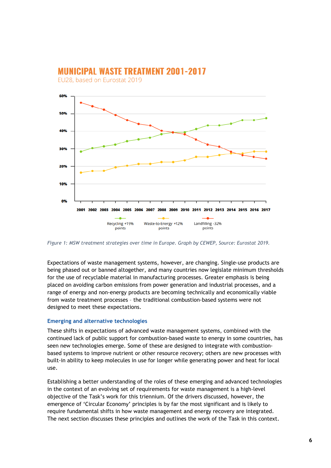

# **MUNICIPAL WASTE TREATMENT 2001-2017**

EU28, based on Eurostat 2019

<span id="page-7-1"></span>*Figure 1: MSW treatment strategies over time in Europe. Graph by CEWEP, Source: Eurostat 2019.*

Expectations of waste management systems, however, are changing. Single-use products are being phased out or banned altogether, and many countries now legislate minimum thresholds for the use of recyclable material in manufacturing processes. Greater emphasis is being placed on avoiding carbon emissions from power generation and industrial processes, and a range of energy and non-energy products are becoming technically and economically viable from waste treatment processes – the traditional combustion-based systems were not designed to meet these expectations.

#### <span id="page-7-0"></span>**Emerging and alternative technologies**

These shifts in expectations of advanced waste management systems, combined with the continued lack of public support for combustion-based waste to energy in some countries, has seen new technologies emerge. Some of these are designed to integrate with combustionbased systems to improve nutrient or other resource recovery; others are new processes with built-in ability to keep molecules in use for longer while generating power and heat for local use.

Establishing a better understanding of the roles of these emerging and advanced technologies in the context of an evolving set of requirements for waste management is a high-level objective of the Task's work for this triennium. Of the drivers discussed, however, the emergence of 'Circular Economy' principles is by far the most significant and is likely to require fundamental shifts in how waste management and energy recovery are integrated. The next section discusses these principles and outlines the work of the Task in this context.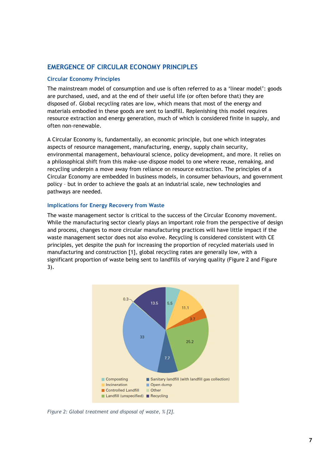#### <span id="page-8-0"></span>**EMERGENCE OF CIRCULAR ECONOMY PRINCIPLES**

#### <span id="page-8-1"></span>**Circular Economy Principles**

The mainstream model of consumption and use is often referred to as a 'linear model': goods are purchased, used, and at the end of their useful life (or often before that) they are disposed of. Global recycling rates are low, which means that most of the energy and materials embodied in these goods are sent to landfill. Replenishing this model requires resource extraction and energy generation, much of which is considered finite in supply, and often non-renewable.

A Circular Economy is, fundamentally, an economic principle, but one which integrates aspects of resource management, manufacturing, energy, supply chain security, environmental management, behavioural science, policy development, and more. It relies on a philosophical shift from this make–use–dispose model to one where reuse, remaking, and recycling underpin a move away from reliance on resource extraction. The principles of a Circular Economy are embedded in business models, in consumer behaviours, and government policy – but in order to achieve the goals at an industrial scale, new technologies and pathways are needed.

#### <span id="page-8-2"></span>**Implications for Energy Recovery from Waste**

The waste management sector is critical to the success of the Circular Economy movement. While the manufacturing sector clearly plays an important role from the perspective of design and process, changes to more circular manufacturing practices will have little impact if the waste management sector does not also evolve. Recycling is considered consistent with CE principles, yet despite the push for increasing the proportion of recycled materials used in manufacturing and construction [1], global recycling rates are generally low, with a significant proportion of waste being sent to landfills of varying quality (Figure 2 and Figure 3).



*Figure 2: Global treatment and disposal of waste, % [2].*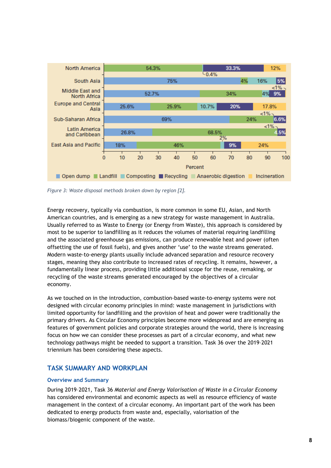

*Figure 3: Waste disposal methods broken down by region [2].* 

Energy recovery, typically via combustion, is more common in some EU, Asian, and North American countries, and is emerging as a new strategy for waste management in Australia. Usually referred to as Waste to Energy (or Energy from Waste), this approach is considered by most to be superior to landfilling as it reduces the volumes of material requiring landfilling and the associated greenhouse gas emissions, can produce renewable heat and power (often offsetting the use of fossil fuels), and gives another 'use' to the waste streams generated. Modern waste-to-energy plants usually include advanced separation and resource recovery stages, meaning they also contribute to increased rates of recycling. It remains, however, a fundamentally linear process, providing little additional scope for the reuse, remaking, or recycling of the waste streams generated encouraged by the objectives of a circular economy.

As we touched on in the introduction, combustion-based waste-to-energy systems were not designed with circular economy principles in mind: waste management in jurisdictions with limited opportunity for landfilling and the provision of heat and power were traditionally the primary drivers. As Circular Economy principles become more widespread and are emerging as features of government policies and corporate strategies around the world, there is increasing focus on how we can consider these processes as part of a circular economy, and what new technology pathways might be needed to support a transition. Task 36 over the 2019–2021 triennium has been considering these aspects.

#### <span id="page-9-0"></span>**TASK SUMMARY AND WORKPLAN**

#### <span id="page-9-1"></span>**Overview and Summary**

During 2019–2021, Task 36 *Material and Energy Valorisation of Waste in a Circular Economy* has considered environmental and economic aspects as well as resource efficiency of waste management in the context of a circular economy. An important part of the work has been dedicated to energy products from waste and, especially, valorisation of the biomass/biogenic component of the waste.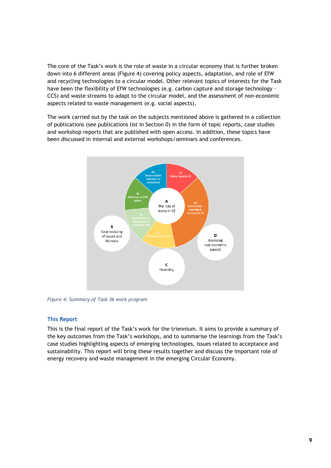The core of the Task's work is the role of waste in a circular economy that is further broken down into 6 different areas [\(Figure 4\)](#page-10-1) covering policy aspects, adaptation, and role of EfW and recycling technologies to a circular model. Other relevant topics of interests for the Task have been the flexibility of EfW technologies (e.g. carbon capture and storage technology -CCS) and waste streams to adapt to the circular model, and the assessment of non-economic aspects related to waste management (e.g. social aspects).

The work carried out by the task on the subjects mentioned above is gathered in a collection of publications (see publications list in Section 0) in the form of topic reports, case studies and workshop reports that are published with open access. In addition, these topics have been discussed in internal and external workshops/seminars and conferences.



<span id="page-10-1"></span>*Figure 4: Summary of Task 36 work program*

#### <span id="page-10-0"></span>**This Report**

This is the final report of the Task's work for the triennium. It aims to provide a summary of the key outcomes from the Task's workshops, and to summarise the learnings from the Task's case studies highlighting aspects of emerging technologies, issues related to acceptance and sustainability. This report will bring these results together and discuss the important role of energy recovery and waste management in the emerging Circular Economy.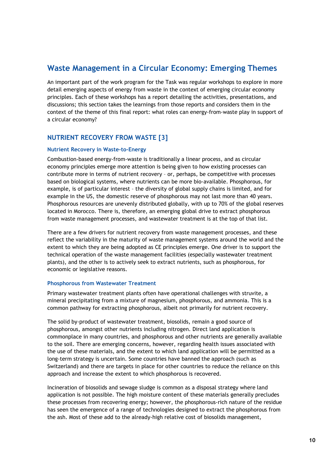## <span id="page-11-0"></span>**Waste Management in a Circular Economy: Emerging Themes**

An important part of the work program for the Task was regular workshops to explore in more detail emerging aspects of energy from waste in the context of emerging circular economy principles. Each of these workshops has a report detailing the activities, presentations, and discussions; this section takes the learnings from those reports and considers them in the context of the theme of this final report: what roles can energy-from-waste play in support of a circular economy?

#### <span id="page-11-1"></span>**NUTRIENT RECOVERY FROM WASTE [3]**

#### <span id="page-11-2"></span>**Nutrient Recovery in Waste-to-Energy**

Combustion-based energy-from-waste is traditionally a linear process, and as circular economy principles emerge more attention is being given to how existing processes can contribute more in terms of nutrient recovery – or, perhaps, be competitive with processes based on biological systems, where nutrients can be more bio-available. Phosphorous, for example, is of particular interest – the diversity of global supply chains is limited, and for example in the US, the domestic reserve of phosphorous may not last more than 40 years. Phosphorous resources are unevenly distributed globally, with up to 70% of the global reserves located in Morocco. There is, therefore, an emerging global drive to extract phosphorous from waste management processes, and wastewater treatment is at the top of that list.

There are a few drivers for nutrient recovery from waste management processes, and these reflect the variability in the maturity of waste management systems around the world and the extent to which they are being adopted as CE principles emerge. One driver is to support the technical operation of the waste management facilities (especially wastewater treatment plants), and the other is to actively seek to extract nutrients, such as phosphorous, for economic or legislative reasons.

#### <span id="page-11-3"></span>**Phosphorous from Wastewater Treatment**

Primary wastewater treatment plants often have operational challenges with struvite, a mineral precipitating from a mixture of magnesium, phosphorous, and ammonia. This is a common pathway for extracting phosphorous, albeit not primarily for nutrient recovery.

The solid by-product of wastewater treatment, biosolids, remain a good source of phosphorous, amongst other nutrients including nitrogen. Direct land application is commonplace in many countries, and phosphorous and other nutrients are generally available to the soil. There are emerging concerns, however, regarding health issues associated with the use of these materials, and the extent to which land application will be permitted as a long-term strategy is uncertain. Some countries have banned the approach (such as Switzerland) and there are targets in place for other countries to reduce the reliance on this approach and increase the extent to which phosphorous is recovered.

Incineration of biosolids and sewage sludge is common as a disposal strategy where land application is not possible. The high moisture content of these materials generally precludes these processes from recovering energy; however, the phosphorous-rich nature of the residue has seen the emergence of a range of technologies designed to extract the phosphorous from the ash. Most of these add to the already-high relative cost of biosolids management,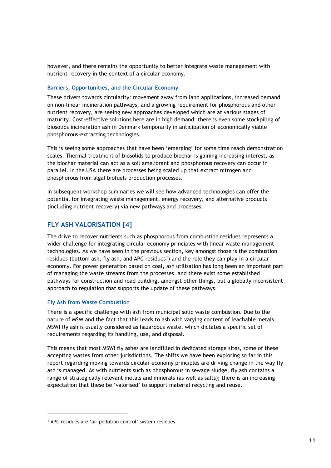however, and there remains the opportunity to better integrate waste management with nutrient recovery in the context of a circular economy.

#### <span id="page-12-0"></span>**Barriers, Opportunities, and the Circular Economy**

These drivers towards circularity: movement away from land applications, increased demand on non-linear incineration pathways, and a growing requirement for phosphorous and other nutrient recovery, are seeing new approaches developed which are at various stages of maturity. Cost-effective solutions here are in high demand: there is even some stockpiling of biosolids incineration ash in Denmark temporarily in anticipation of economically viable phosphorous-extracting technologies.

This is seeing some approaches that have been 'emerging' for some time reach demonstration scales. Thermal treatment of biosolids to produce biochar is gaining increasing interest, as the biochar material can act as a soil ameliorant and phosphorous recovery can occur in parallel. In the USA there are processes being scaled up that extract nitrogen and phosphorous from algal biofuels production processes.

In subsequent workshop summaries we will see how advanced technologies can offer the potential for integrating waste management, energy recovery, and alternative products (including nutrient recovery) via new pathways and processes.

#### <span id="page-12-1"></span>**FLY ASH VALORISATION [4]**

The drive to recover nutrients such as phosphorous from combustion residues represents a wider challenge for integrating circular economy principles with linear waste management technologies. As we have seen in the previous section, key amongst those is the combustion residues (bottom ash, fly ash, and APC residues<sup>[1](#page-12-3)</sup>) and the role they can play in a circular economy. For power generation based on coal, ash utilisation has long been an important part of managing the waste streams from the processes, and there exist some established pathways for construction and road building, amongst other things, but a globally inconsistent approach to regulation that supports the update of these pathways.

#### <span id="page-12-2"></span>**Fly Ash from Waste Combustion**

There is a specific challenge with ash from municipal solid waste combustion. Due to the nature of MSW and the fact that this leads to ash with varying content of leachable metals, MSWI fly ash is usually considered as hazardous waste, which dictates a specific set of requirements regarding its handling, use, and disposal.

This means that most MSWI fly ashes are landfilled in dedicated storage sites, some of these accepting wastes from other jurisdictions. The shifts we have been exploring so far in this report regarding moving towards circular economy principles are driving change in the way fly ash is managed. As with nutrients such as phosphorous in sewage sludge, fly ash contains a range of strategically relevant metals and minerals (as well as salts); there is an increasing expectation that these be 'valorised' to support material recycling and reuse.

<span id="page-12-3"></span><sup>1</sup> APC residues are 'air pollution control' system residues.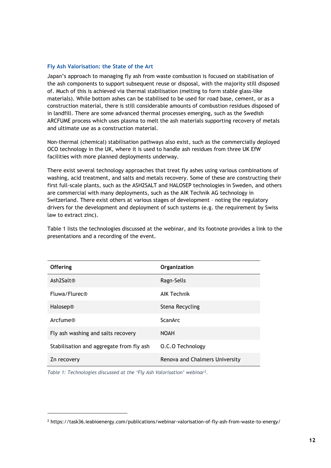#### <span id="page-13-0"></span>**Fly Ash Valorisation: the State of the Art**

Japan's approach to managing fly ash from waste combustion is focused on stabilisation of the ash components to support subsequent reuse or disposal, with the majority still disposed of. Much of this is achieved via thermal stabilisation (melting to form stable glass-like materials). While bottom ashes can be stabilised to be used for road base, cement, or as a construction material, there is still considerable amounts of combustion residues disposed of in landfill. There are some advanced thermal processes emerging, such as the Swedish ARCFUME process which uses plasma to melt the ash materials supporting recovery of metals and ultimate use as a construction material.

Non-thermal (chemical) stabilisation pathways also exist, such as the commercially deployed OCO technology in the UK, where it is used to handle ash residues from three UK EfW facilities with more planned deployments underway.

There exist several technology approaches that treat fly ashes using various combinations of washing, acid treatment, and salts and metals recovery. Some of these are constructing their first full-scale plants, such as the ASH2SALT and HALOSEP technologies in Sweden, and others are commercial with many deployments, such as the AIK Technik AG technology in Switzerland. There exist others at various stages of development – noting the regulatory drivers for the development and deployment of such systems (e.g. the requirement by Swiss law to extract zinc).

Table 1 lists the technologies discussed at the webinar, and its footnote provides a link to the presentations and a recording of the event.

| <b>Offering</b>                          | Organization                   |
|------------------------------------------|--------------------------------|
| Ash2Salt <sup>®</sup>                    | Ragn-Sells                     |
| Fluwa/Flurec®                            | <b>AIK Technik</b>             |
| Halosep®                                 | Stena Recycling                |
| Arcfume®                                 | <b>ScanArc</b>                 |
| Fly ash washing and salts recovery       | <b>NOAH</b>                    |
| Stabilisation and aggregate from fly ash | O.C.O Technology               |
| Zn recovery                              | Renova and Chalmers University |

*Table 1: Technologies discussed at the 'Fly Ash Valorisation' webina[r2.](#page-13-1)*

<span id="page-13-1"></span><sup>2</sup> https://task36.ieabioenergy.com/publications/webinar-valorisation-of-fly-ash-from-waste-to-energy/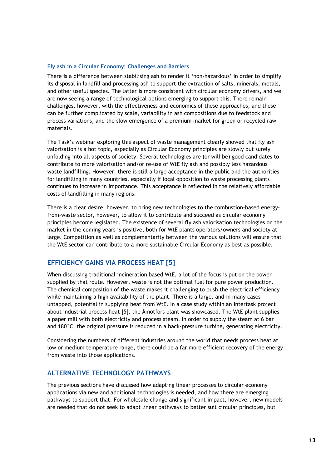#### <span id="page-14-0"></span>**Fly ash in a Circular Economy: Challenges and Barriers**

There is a difference between stabilising ash to render it 'non-hazardous' in order to simplify its disposal in landfill and processing ash to support the extraction of salts, minerals, metals, and other useful species. The latter is more consistent with circular economy drivers, and we are now seeing a range of technological options emerging to support this. There remain challenges, however, with the effectiveness and economics of these approaches, and these can be further complicated by scale, variability in ash compositions due to feedstock and process variations, and the slow emergence of a premium market for green or recycled raw materials.

The Task's webinar exploring this aspect of waste management clearly showed that fly ash valorisation is a hot topic, especially as Circular Economy principles are slowly but surely unfolding into all aspects of society. Several technologies are (or will be) good candidates to contribute to more valorisation and/or re-use of WtE fly ash and possibly less hazardous waste landfilling. However, there is still a large acceptance in the public and the authorities for landfilling in many countries, especially if local opposition to waste processing plants continues to increase in importance. This acceptance is reflected in the relatively affordable costs of landfilling in many regions.

There is a clear desire, however, to bring new technologies to the combustion-based energyfrom-waste sector, however, to allow it to contribute and succeed as circular economy principles become legislated. The existence of several fly ash valorisation technologies on the market in the coming years is positive, both for WtE plants operators/owners and society at large. Competition as well as complementarity between the various solutions will ensure that the WtE sector can contribute to a more sustainable Circular Economy as best as possible.

#### <span id="page-14-1"></span>**EFFICIENCY GAINS VIA PROCESS HEAT [5]**

When discussing traditional incineration based WtE, a lot of the focus is put on the power supplied by that route. However, waste is not the optimal fuel for pure power production. The chemical composition of the waste makes it challenging to push the electrical efficiency while maintaining a high availability of the plant. There is a large, and in many cases untapped, potential in supplying heat from WtE. In a case study within an intertask project about industrial process heat [5], the Åmotfors plant was showcased. The WtE plant supplies a paper mill with both electricity and process steam. In order to supply the steam at 6 bar and 180°C, the original pressure is reduced in a back-pressure turbine, generating electricity.

Considering the numbers of different industries around the world that needs process heat at low or medium temperature range, there could be a far more efficient recovery of the energy from waste into those applications.

#### <span id="page-14-2"></span>**ALTERNATIVE TECHNOLOGY PATHWAYS**

The previous sections have discussed how adapting linear processes to circular economy applications via new and additional technologies is needed, and how there are emerging pathways to support that. For wholesale change and significant impact, however, new models are needed that do not seek to adapt linear pathways to better suit circular principles, but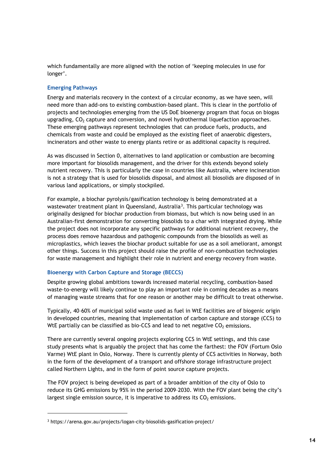which fundamentally are more aligned with the notion of 'keeping molecules in use for longer'.

#### <span id="page-15-0"></span>**Emerging Pathways**

Energy and materials recovery in the context of a circular economy, as we have seen, will need more than add-ons to existing combustion-based plant. This is clear in the portfolio of projects and technologies emerging from the US DoE bioenergy program that focus on biogas upgrading,  $CO<sub>2</sub>$  capture and conversion, and novel hydrothermal liquefaction approaches. These emerging pathways represent technologies that can produce fuels, products, and chemicals from waste and could be employed as the existing fleet of anaerobic digesters, incinerators and other waste to energy plants retire or as additional capacity is required.

As was discussed in Section 0, alternatives to land application or combustion are becoming more important for biosolids management, and the driver for this extends beyond solely nutrient recovery. This is particularly the case in countries like Australia, where incineration is not a strategy that is used for biosolids disposal, and almost all biosolids are disposed of in various land applications, or simply stockpiled.

For example, a biochar pyrolysis/gasification technology is being demonstrated at a wastewater treatment plant in Queensland, Australia<sup>[3](#page-15-2)</sup>. This particular technology was originally designed for biochar production from biomass, but which is now being used in an Australian-first demonstration for converting biosolids to a char with integrated drying. While the project does not incorporate any specific pathways for additional nutrient recovery, the process does remove hazardous and pathogenic compounds from the biosolids as well as microplastics, which leaves the biochar product suitable for use as a soil ameliorant, amongst other things. Success in this project should raise the profile of non-combustion technologies for waste management and highlight their role in nutrient and energy recovery from waste.

#### <span id="page-15-1"></span>**Bioenergy with Carbon Capture and Storage (BECCS)**

Despite growing global ambitions towards increased material recycling, combustion-based waste-to-energy will likely continue to play an important role in coming decades as a means of managing waste streams that for one reason or another may be difficult to treat otherwise.

Typically, 40–60% of municipal solid waste used as fuel in WtE facilities are of biogenic origin in developed countries, meaning that implementation of carbon capture and storage (CCS) to WtE partially can be classified as bio-CCS and lead to net negative  $CO<sub>2</sub>$  emissions.

There are currently several ongoing projects exploring CCS in WtE settings, and this case study presents what is arguably the project that has come the farthest: the FOV (Fortum Oslo Varme) WtE plant in Oslo, Norway. There is currently plenty of CCS activities in Norway, both in the form of the development of a transport and offshore storage infrastructure project called Northern Lights, and in the form of point source capture projects.

The FOV project is being developed as part of a broader ambition of the city of Oslo to reduce its GHG emissions by 95% in the period 2009–2030. With the FOV plant being the city's largest single emission source, it is imperative to address its  $CO<sub>2</sub>$  emissions.

<span id="page-15-2"></span><sup>3</sup> https://arena.gov.au/projects/logan-city-biosolids-gasification-project/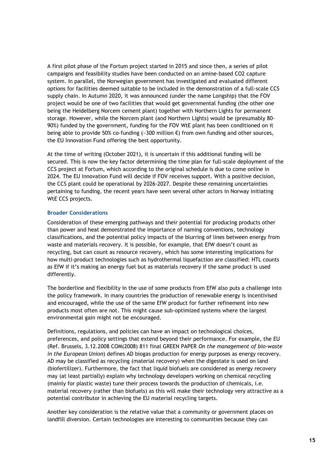A first pilot phase of the Fortum project started in 2015 and since then, a series of pilot campaigns and feasibility studies have been conducted on an amine-based CO2 capture system. In parallel, the Norwegian government has investigated and evaluated different options for facilities deemed suitable to be included in the demonstration of a full-scale CCS supply chain. In Autumn 2020, it was announced (under the name Longship) that the FOV project would be one of two facilities that would get governmental funding (the other one being the Heidelberg Norcem cement plant) together with Northern Lights for permanent storage. However, while the Norcem plant (and Northern Lights) would be (presumably 80- 90%) funded by the government, funding for the FOV WtE plant has been conditioned on it being able to provide 50% co-funding (~300 million  $\epsilon$ ) from own funding and other sources, the EU Innovation Fund offering the best opportunity.

At the time of writing (October 2021), it is uncertain if this additional funding will be secured. This is now the key factor determining the time plan for full-scale deployment of the CCS project at Fortum, which according to the original schedule is due to come online in 2024. The EU Innovation Fund will decide if FOV receives support. With a positive decision, the CCS plant could be operational by 2026-2027. Despite these remaining uncertainties pertaining to funding, the recent years have seen several other actors in Norway initiating WtE CCS projects.

#### <span id="page-16-0"></span>**Broader Considerations**

Consideration of these emerging pathways and their potential for producing products other than power and heat demonstrated the importance of naming conventions, technology classifications, and the potential policy impacts of the blurring of lines between energy from waste and materials recovery. It is possible, for example, that EfW doesn't count as recycling, but can count as resource recovery, which has some interesting implications for how multi-product technologies such as hydrothermal liquefaction are classified: HTL counts as EfW if it's making an energy fuel but as materials recovery if the same product is used differently.

The borderline and flexibility in the use of some products from EfW also puts a challenge into the policy framework. In many countries the production of renewable energy is incentivised and encouraged, while the use of the same EfW product for further refinement into new products most often are not. This might cause sub-optimized systems where the largest environmental gain might not be encouraged.

Definitions, regulations, and policies can have an impact on technological choices, preferences, and policy settings that extend beyond their performance. For example, the EU (Ref. Brussels, 3.12.2008 COM(2008) 811 final GREEN PAPER *On the management of bio-waste in the European Union*) defines AD biogas production for energy purposes as energy recovery. AD may be classified as recycling (material recovery) when the digestate is used on land (biofertilizer). Furthermore, the fact that liquid biofuels are considered as energy recovery may (at least partially) explain why technology developers working on chemical recycling (mainly for plastic waste) tune their process towards the production of chemicals, i.e. material recovery (rather than biofuels) as this will make their technology very attractive as a potential contributor in achieving the EU material recycling targets.

Another key consideration is the relative value that a community or government places on landfill diversion. Certain technologies are interesting to communities because they can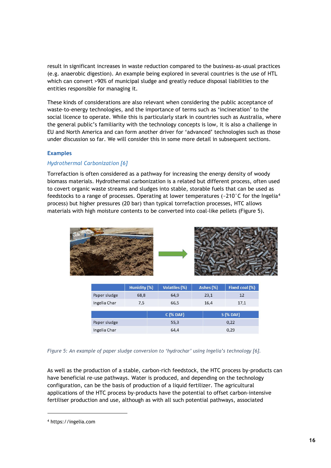result in significant increases in waste reduction compared to the business-as-usual practices (e.g. anaerobic digestion). An example being explored in several countries is the use of HTL which can convert >90% of municipal sludge and greatly reduce disposal liabilities to the entities responsible for managing it.

These kinds of considerations are also relevant when considering the public acceptance of waste-to-energy technologies, and the importance of terms such as 'incineration' to the social licence to operate. While this is particularly stark in countries such as Australia, where the general public's familiarity with the technology concepts is low, it is also a challenge in EU and North America and can form another driver for 'advanced' technologies such as those under discussion so far. We will consider this in some more detail in subsequent sections.

#### <span id="page-17-0"></span>**Examples**

#### *Hydrothermal Carbonization [6]*

Torrefaction is often considered as a pathway for increasing the energy density of woody biomass materials. Hydrothermal carbonization is a related but different process, often used to covert organic waste streams and sludges into stable, storable fuels that can be used as feedstocks to a range of processes. Operating at lower temperatures (~210 $\degree$ C for the Ingelia<sup>[4](#page-17-1)</sup> process) but higher pressures (20 bar) than typical torrefaction processes, HTC allows materials with high moisture contents to be converted into coal-like pellets (Figure 5).



|                            | Hunidity (%) | <b>Volatiles (%)</b> | Ashes (%) | Fixed coal (%) |
|----------------------------|--------------|----------------------|-----------|----------------|
| Paper sludge               | 68,8         | 64.9                 | 23,1      | 12             |
| Ingelia Char               | 7,5          | 66,5                 | 16.4      | 17,1           |
| $C$ (% DAF)<br>$S$ (% DAF) |              |                      |           |                |
| Paper sludge               |              | 55,3<br>0,22         |           |                |
| Ingelia Char               |              | 64,4<br>0.29         |           |                |

*Figure 5: An example of paper sludge conversion to 'hydrochar' using Ingelia's technology [6].*

As well as the production of a stable, carbon-rich feedstock, the HTC process by-products can have beneficial re-use pathways. Water is produced, and depending on the technology configuration, can be the basis of production of a liquid fertilizer. The agricultural applications of the HTC process by-products have the potential to offset carbon-intensive fertiliser production and use, although as with all such potential pathways, associated

<span id="page-17-1"></span><sup>4</sup> https://ingelia.com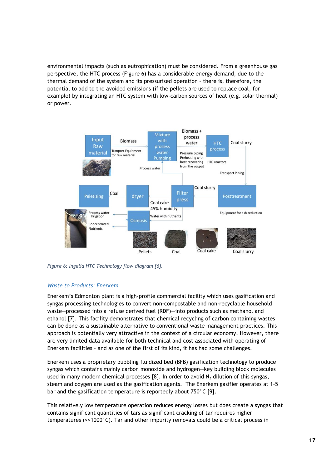environmental impacts (such as eutrophication) must be considered. From a greenhouse gas perspective, the HTC process (Figure 6) has a considerable energy demand, due to the thermal demand of the system and its pressurised operation – there is, therefore, the potential to add to the avoided emissions (if the pellets are used to replace coal, for example) by integrating an HTC system with low-carbon sources of heat (e.g. solar thermal) or power.



*Figure 6: Ingelia HTC Technology flow diagram [6].*

#### *Waste to Products: Enerkem*

Enerkem's Edmonton plant is a high-profile commercial facility which uses gasification and syngas processing technologies to convert non-compostable and non-recyclable household waste—processed into a refuse derived fuel (RDF)—into products such as methanol and ethanol [7]. This facility demonstrates that chemical recycling of carbon containing wastes can be done as a sustainable alternative to conventional waste management practices. This approach is potentially very attractive in the context of a circular economy. However, there are very limited data available for both technical and cost associated with operating of Enerkem facilities – and as one of the first of its kind, it has had some challenges.

Enerkem uses a proprietary bubbling fluidized bed (BFB) gasification technology to produce syngas which contains mainly carbon monoxide and hydrogen—key building block molecules used in many modern chemical processes [8]. In order to avoid  $N_2$  dilution of this syngas, steam and oxygen are used as the gasification agents. The Enerkem gasifier operates at 1–5 bar and the gasification temperature is reportedly about 750°C [9].

This relatively low temperature operation reduces energy losses but does create a syngas that contains significant quantities of tars as significant cracking of tar requires higher temperatures ( $\geq$  1000 $^{\circ}$ C). Tar and other impurity removals could be a critical process in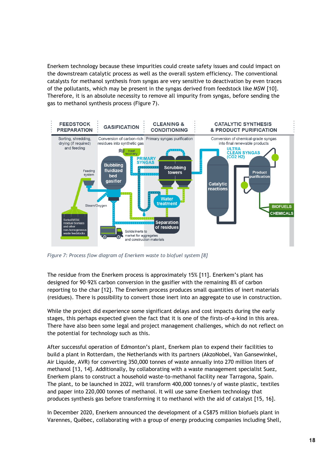Enerkem technology because these impurities could create safety issues and could impact on the downstream catalytic process as well as the overall system efficiency. The conventional catalysts for methanol synthesis from syngas are very sensitive to deactivation by even traces of the pollutants, which may be present in the syngas derived from feedstock like MSW [10]. Therefore, it is an absolute necessity to remove all impurity from syngas, before sending the gas to methanol synthesis process [\(Figure 7\)](#page-19-0).



<span id="page-19-0"></span>*Figure 7: Process flow diagram of Enerkem waste to biofuel system [8]*

The residue from the Enerkem process is approximately 15% [11]. Enerkem's plant has designed for 90–92% carbon conversion in the gasifier with the remaining 8% of carbon reporting to the char [12]. The Enerkem process produces small quantities of inert materials (residues). There is possibility to convert those inert into an aggregate to use in construction.

While the project did experience some significant delays and cost impacts during the early stages, this perhaps expected given the fact that it is one of the firsts-of-a-kind in this area. There have also been some legal and project management challenges, which do not reflect on the potential for technology such as this.

After successful operation of Edmonton's plant, Enerkem plan to expend their facilities to build a plant in Rotterdam, the Netherlands with its partners (AkzoNobel, Van Gansewinkel, Air Liquide, AVR) for converting 350,000 tonnes of waste annually into 270 million liters of methanol [13, 14]. Additionally, by collaborating with a waste management specialist Suez, Enerkem plans to construct a household waste-to-methanol facility near Tarragona, Spain. The plant, to be launched in 2022, will transform 400,000 tonnes/y of waste plastic, textiles and paper into 220,000 tonnes of methanol. It will use same Enerkem technology that produces synthesis gas before transforming it to methanol with the aid of catalyst [15, 16].

In December 2020, Enerkem announced the development of a C\$875 million biofuels plant in Varennes, Québec, collaborating with a group of energy producing companies including Shell,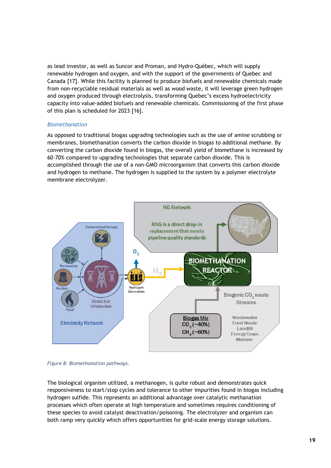as lead investor, as well as Suncor and Proman, and Hydro-Québec, which will supply renewable hydrogen and oxygen, and with the support of the governments of Quebec and Canada [17]. While this facility is planned to produce biofuels and renewable chemicals made from non-recyclable residual materials as well as wood waste, it will leverage green hydrogen and oxygen produced through electrolysis, transforming Quebec's excess hydroelectricity capacity into value-added biofuels and renewable chemicals. Commissioning of the first phase of this plan is scheduled for 2023 [16].

#### *Biomethanation*

As opposed to traditional biogas upgrading technologies such as the use of amine scrubbing or membranes, biomethanation converts the carbon dioxide in biogas to additional methane. By converting the carbon dioxide found in biogas, the overall yield of biomethane is increased by 60–70% compared to upgrading technologies that separate carbon dioxide. This is accomplished through the use of a non-GMO microorganism that converts this carbon dioxide and hydrogen to methane. The hydrogen is supplied to the system by a polymer electrolyte membrane electrolyzer.



*Figure 8: Biomethanation pathways.*

The biological organism utilized, a methanogen, is quite robust and demonstrates quick responsiveness to start/stop cycles and tolerance to other impurities found in biogas including hydrogen sulfide. This represents an additional advantage over catalytic methanation processes which often operate at high temperature and sometimes requires conditioning of these species to avoid catalyst deactivation/poisoning. The electrolyzer and organism can both ramp very quickly which offers opportunities for grid-scale energy storage solutions.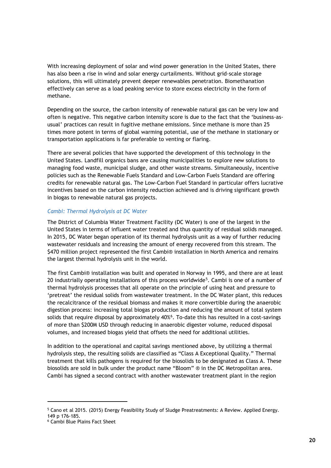With increasing deployment of solar and wind power generation in the United States, there has also been a rise in wind and solar energy curtailments. Without grid-scale storage solutions, this will ultimately prevent deeper renewables penetration. Biomethanation effectively can serve as a load peaking service to store excess electricity in the form of methane.

Depending on the source, the carbon intensity of renewable natural gas can be very low and often is negative. This negative carbon intensity score is due to the fact that the 'business-asusual' practices can result in fugitive methane emissions. Since methane is more than 25 times more potent in terms of global warming potential, use of the methane in stationary or transportation applications is far preferable to venting or flaring.

There are several policies that have supported the development of this technology in the United States. Landfill organics bans are causing municipalities to explore new solutions to managing food waste, municipal sludge, and other waste streams. Simultaneously, incentive policies such as the Renewable Fuels Standard and Low-Carbon Fuels Standard are offering credits for renewable natural gas. The Low-Carbon Fuel Standard in particular offers lucrative incentives based on the carbon intensity reduction achieved and is driving significant growth in biogas to renewable natural gas projects.

#### *Cambi: Thermal Hydrolysis at DC Water*

The District of Columbia Water Treatment Facility (DC Water) is one of the largest in the United States in terms of influent water treated and thus quantity of residual solids managed. In 2015, DC Water began operation of its thermal hydrolysis unit as a way of further reducing wastewater residuals and increasing the amount of energy recovered from this stream. The \$470 million project represented the first Cambi® installation in North America and remains the largest thermal hydrolysis unit in the world.

The first Cambi® installation was built and operated in Norway in 1995, and there are at least 20 industrially operating installations of this process worldwide<sup>[5](#page-21-0)</sup>. Cambi is one of a number of thermal hydrolysis processes that all operate on the principle of using heat and pressure to 'pretreat' the residual solids from wastewater treatment. In the DC Water plant, this reduces the recalcitrance of the residual biomass and makes it more convertible during the anaerobic digestion process: increasing total biogas production and reducing the amount of total system solids that require disposal by approximately 40% $^6$  $^6$ . To-date this has resulted in a cost-savings of more than \$200M USD through reducing in anaerobic digester volume, reduced disposal volumes, and increased biogas yield that offsets the need for additional utilities.

In addition to the operational and capital savings mentioned above, by utilizing a thermal hydrolysis step, the resulting solids are classified as "Class A Exceptional Quality." Thermal treatment that kills pathogens is required for the biosolids to be designated as Class A. These biosolids are sold in bulk under the product name "Bloom" ® in the DC Metropolitan area. Cambi has signed a second contract with another wastewater treatment plant in the region

<span id="page-21-0"></span><sup>&</sup>lt;sup>5</sup> Cano et al 2015. (2015) Energy Feasibility Study of Sludge Preatreatments: A Review. Applied Energy.

<sup>149</sup> p 176-185.

<span id="page-21-1"></span><sup>6</sup> Cambi Blue Plains Fact Sheet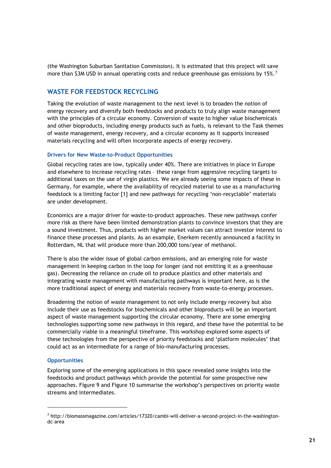(the Washington Suburban Sanitation Commission). It is estimated that this project will save more than \$3M USD in annual operating costs and reduce greenhouse gas emissions by 15%.<sup>[7](#page-22-3)</sup>

#### <span id="page-22-0"></span>**WASTE FOR FEEDSTOCK RECYCLING**

Taking the evolution of waste management to the next level is to broaden the notion of energy recovery and diversify both feedstocks and products to truly align waste management with the principles of a circular economy. Conversion of waste to higher value biochemicals and other bioproducts, including energy products such as fuels, is relevant to the Task themes of waste management, energy recovery, and a circular economy as it supports increased materials recycling and will often incorporate aspects of energy recovery.

#### <span id="page-22-1"></span>**Drivers for New Waste-to-Product Opportunities**

Global recycling rates are low, typically under 40%. There are initiatives in place in Europe and elsewhere to increase recycling rates – these range from aggressive recycling targets to additional taxes on the use of virgin plastics. We are already seeing some impacts of these in Germany, for example, where the availability of recycled material to use as a manufacturing feedstock is a limiting factor [1] and new pathways for recycling 'non-recyclable' materials are under development.

Economics are a major driver for waste-to-product approaches. These new pathways confer more risk as there have been limited demonstration plants to convince investors that they are a sound investment. Thus, products with higher market values can attract investor interest to finance these processes and plants. As an example, Enerkem recently announced a facility in Rotterdam, NL that will produce more than 200,000 tons/year of methanol.

There is also the wider issue of global carbon emissions, and an emerging role for waste management in keeping carbon in the loop for longer (and not emitting it as a greenhouse gas). Decreasing the reliance on crude oil to produce plastics and other materials and integrating waste management with manufacturing pathways is important here, as is the more traditional aspect of energy and materials recovery from waste-to-energy processes.

Broadening the notion of waste management to not only include energy recovery but also include their use as feedstocks for biochemicals and other bioproducts will be an important aspect of waste management supporting the circular economy. There are some emerging technologies supporting some new pathways in this regard, and these have the potential to be commercially viable in a meaningful timeframe. This workshop explored some aspects of these technologies from the perspective of priority feedstocks and 'platform molecules' that could act as an intermediate for a range of bio-manufacturing processes.

#### <span id="page-22-2"></span>**Opportunities**

Exploring some of the emerging applications in this space revealed some insights into the feedstocks and product pathways which provide the potential for some prospective new approaches. [Figure 9](#page-24-0) and Figure 10 summarise the workshop's perspectives on priority waste streams and intermediates.

<span id="page-22-3"></span><sup>7</sup> http://biomassmagazine.com/articles/17320/cambi-will-deliver-a-second-project-in-the-washingtondc-area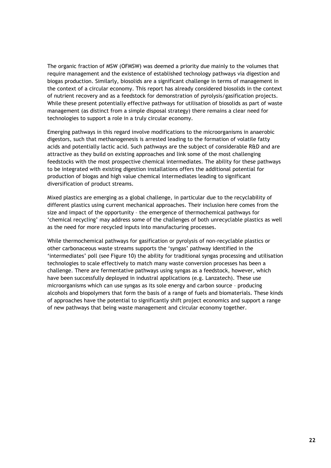The organic fraction of MSW (OFMSW) was deemed a priority due mainly to the volumes that require management and the existence of established technology pathways via digestion and biogas production. Similarly, biosolids are a significant challenge in terms of management in the context of a circular economy. This report has already considered biosolids in the context of nutrient recovery and as a feedstock for demonstration of pyrolysis/gasification projects. While these present potentially effective pathways for utilisation of biosolids as part of waste management (as distinct from a simple disposal strategy) there remains a clear need for technologies to support a role in a truly circular economy.

Emerging pathways in this regard involve modifications to the microorganisms in anaerobic digestors, such that methanogenesis is arrested leading to the formation of volatile fatty acids and potentially lactic acid. Such pathways are the subject of considerable R&D and are attractive as they build on existing approaches and link some of the most challenging feedstocks with the most prospective chemical intermediates. The ability for these pathways to be integrated with existing digestion installations offers the additional potential for production of biogas and high value chemical intermediates leading to significant diversification of product streams.

Mixed plastics are emerging as a global challenge, in particular due to the recyclability of different plastics using current mechanical approaches. Their inclusion here comes from the size and impact of the opportunity – the emergence of thermochemical pathways for 'chemical recycling' may address some of the challenges of both unrecyclable plastics as well as the need for more recycled inputs into manufacturing processes.

While thermochemical pathways for gasification or pyrolysis of non-recyclable plastics or other carbonaceous waste streams supports the 'syngas' pathway identified in the 'intermediates' poll (see Figure 10) the ability for traditional syngas processing and utilisation technologies to scale effectively to match many waste conversion processes has been a challenge. There are fermentative pathways using syngas as a feedstock, however, which have been successfully deployed in industral applications (e.g. Lanzatech). These use microorganisms which can use syngas as its sole energy and carbon source – producing alcohols and biopolymers that form the basis of a range of fuels and biomaterials. These kinds of approaches have the potential to significantly shift project economics and support a range of new pathways that being waste management and circular economy together.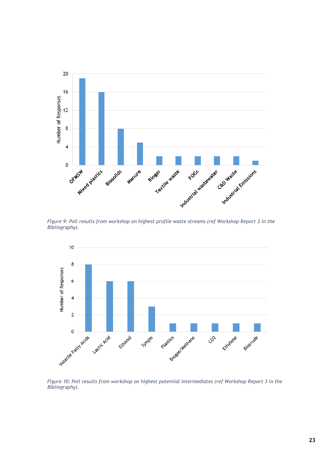

<span id="page-24-0"></span>*Figure 9: Poll results from workshop on highest profile waste streams (ref Workshop Report 3 in the Bibliography).*



*Figure 10: Poll results from workshop on highest potential intermediates (ref Workshop Report 3 in the Bibliography).*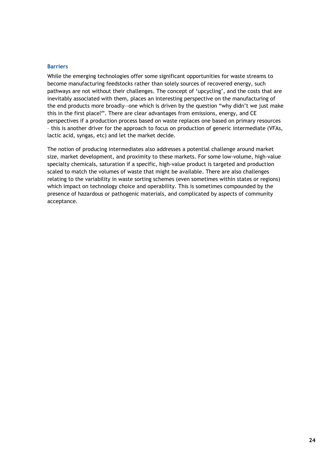#### <span id="page-25-0"></span>**Barriers**

While the emerging technologies offer some significant opportunities for waste streams to become manufacturing feedstocks rather than solely sources of recovered energy, such pathways are not without their challenges. The concept of 'upcycling', and the costs that are inevitably associated with them, places an interesting perspective on the manufacturing of the end products more broadly—one which is driven by the question "why didn't we just make this in the first place?". There are clear advantages from emissions, energy, and CE perspectives if a production process based on waste replaces one based on primary resources – this is another driver for the approach to focus on production of generic intermediate (VFAs, lactic acid, syngas, etc) and let the market decide.

The notion of producing intermediates also addresses a potential challenge around market size, market development, and proximity to these markets. For some low-volume, high-value specialty chemicals, saturation if a specific, high-value product is targeted and production scaled to match the volumes of waste that might be available. There are also challenges relating to the variability in waste sorting schemes (even sometimes within states or regions) which impact on technology choice and operability. This is sometimes compounded by the presence of hazardous or pathogenic materials, and complicated by aspects of community acceptance.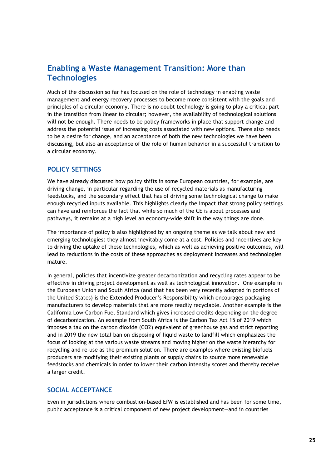# <span id="page-26-0"></span>**Enabling a Waste Management Transition: More than Technologies**

Much of the discussion so far has focused on the role of technology in enabling waste management and energy recovery processes to become more consistent with the goals and principles of a circular economy. There is no doubt technology is going to play a critical part in the transition from linear to circular; however, the availability of technological solutions will not be enough. There needs to be policy frameworks in place that support change and address the potential issue of increasing costs associated with new options. There also needs to be a desire for change, and an acceptance of both the new technologies we have been discussing, but also an acceptance of the role of human behavior in a successful transition to a circular economy.

#### <span id="page-26-1"></span>**POLICY SETTINGS**

We have already discussed how policy shifts in some European countries, for example, are driving change, in particular regarding the use of recycled materials as manufacturing feedstocks, and the secondary effect that has of driving some technological change to make enough recycled inputs available. This highlights clearly the impact that strong policy settings can have and reinforces the fact that while so much of the CE is about processes and pathways, it remains at a high level an economy-wide shift in the way things are done.

The importance of policy is also highlighted by an ongoing theme as we talk about new and emerging technologies: they almost inevitably come at a cost. Policies and incentives are key to driving the uptake of these technologies, which as well as achieving positive outcomes, will lead to reductions in the costs of these approaches as deployment increases and technologies mature.

In general, policies that incentivize greater decarbonization and recycling rates appear to be effective in driving project development as well as technological innovation. One example in the European Union and South Africa (and that has been very recently adopted in portions of the United States) is the Extended Producer's Responsibility which encourages packaging manufacturers to develop materials that are more readily recyclable. Another example is the California Low-Carbon Fuel Standard which gives increased credits depending on the degree of decarbonization. An example from South Africa is the Carbon Tax Act 15 of 2019 which imposes a tax on the carbon dioxide (CO2) equivalent of greenhouse gas and strict reporting and in 2019 the new total ban on disposing of liquid waste to landfill which emphasizes the focus of looking at the various waste streams and moving higher on the waste hierarchy for recycling and re-use as the premium solution. There are examples where existing biofuels producers are modifying their existing plants or supply chains to source more renewable feedstocks and chemicals in order to lower their carbon intensity scores and thereby receive a larger credit.

#### <span id="page-26-2"></span>**SOCIAL ACCEPTANCE**

Even in jurisdictions where combustion-based EfW is established and has been for some time, public acceptance is a critical component of new project development—and in countries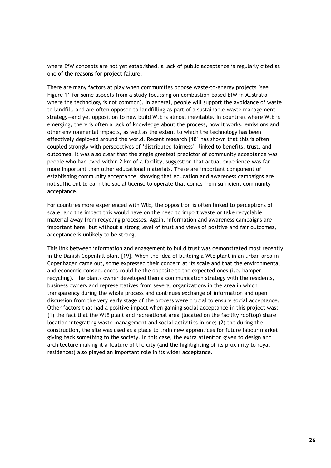where EfW concepts are not yet established, a lack of public acceptance is regularly cited as one of the reasons for project failure.

There are many factors at play when communities oppose waste-to-energy projects (see Figure 11 for some aspects from a study focussing on combustion-based EfW in Australia where the technology is not common). In general, people will support the avoidance of waste to landfill, and are often opposed to landfilling as part of a sustainable waste management strategy—and yet opposition to new build WtE is almost inevitable. In countries where WtE is emerging, there is often a lack of knowledge about the process, how it works, emissions and other environmental impacts, as well as the extent to which the technology has been effectively deployed around the world. Recent research [18] has shown that this is often coupled strongly with perspectives of 'distributed fairness'—linked to benefits, trust, and outcomes. It was also clear that the single greatest predictor of community acceptance was people who had lived within 2 km of a facility, suggestion that actual experience was far more important than other educational materials. These are important component of establishing community acceptance, showing that education and awareness campaigns are not sufficient to earn the social license to operate that comes from sufficient community acceptance.

For countries more experienced with WtE, the opposition is often linked to perceptions of scale, and the impact this would have on the need to import waste or take recyclable material away from recycling processes. Again, information and awareness campaigns are important here, but without a strong level of trust and views of positive and fair outcomes, acceptance is unlikely to be strong.

This link between information and engagement to build trust was demonstrated most recently in the Danish Copenhill plant [19]. When the idea of building a WtE plant in an urban area in Copenhagen came out, some expressed their concern at its scale and that the environmental and economic consequences could be the opposite to the expected ones (i.e. hamper recycling). The plants owner developed then a communication strategy with the residents, business owners and representatives from several organizations in the area in which transparency during the whole process and continues exchange of information and open discussion from the very early stage of the process were crucial to ensure social acceptance. Other factors that had a positive impact when gaining social acceptance in this project was: (1) the fact that the WtE plant and recreational area (located on the facility rooftop) share location integrating waste management and social activities in one; (2) the during the construction, the site was used as a place to train new apprentices for future labour market giving back something to the society. In this case, the extra attention given to design and architecture making it a feature of the city (and the highlighting of its proximity to royal residences) also played an important role in its wider acceptance.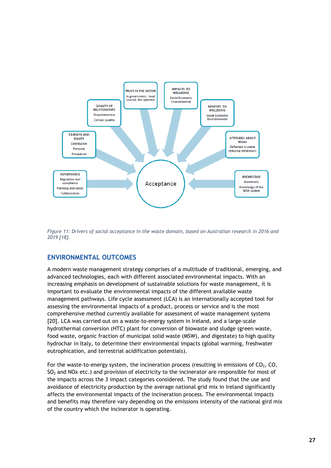

*Figure 11: Drivers of social acceptance in the waste domain, based on Australian research in 2016 and 2019 [18].*

#### <span id="page-28-0"></span>**ENVIRONMENTAL OUTCOMES**

A modern waste management strategy comprises of a multitude of traditional, emerging, and advanced technologies, each with different associated environmental impacts. With an increasing emphasis on development of sustainable solutions for waste management, it is important to evaluate the environmental impacts of the different available waste management pathways. Life cycle assessment (LCA) is an internationally accepted tool for assessing the environmental impacts of a product, process or service and is the most comprehensive method currently available for assessment of waste management systems [20]. LCA was carried out on a waste-to-energy system in Ireland, and a large-scale hydrothermal conversion (HTC) plant for conversion of biowaste and sludge (green waste, food waste, organic fraction of municipal solid waste (MSW), and digestate) to high quality hydrochar in Italy, to determine their environmental impacts (global warming, freshwater eutrophication, and terrestrial acidification potentials).

For the waste-to-energy system, the incineration process (resulting in emissions of  $CO<sub>2</sub>$ , CO,  $SO<sub>2</sub>$  and NOx etc.) and provision of electricity to the incinerator are responsible for most of the impacts across the 3 impact categories considered. The study found that the use and avoidance of electricity production by the average national grid mix in Ireland significantly affects the environmental impacts of the incineration process. The environmental impacts and benefits may therefore vary depending on the emissions intensity of the national gird mix of the country which the incinerator is operating.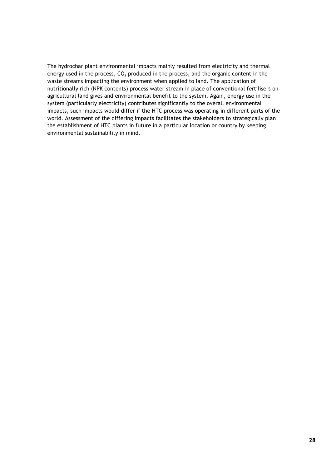The hydrochar plant environmental impacts mainly resulted from electricity and thermal energy used in the process,  $CO<sub>2</sub>$  produced in the process, and the organic content in the waste streams impacting the environment when applied to land. The application of nutritionally rich (NPK contents) process water stream in place of conventional fertilisers on agricultural land gives and environmental benefit to the system. Again, energy use in the system (particularly electricity) contributes significantly to the overall environmental impacts, such impacts would differ if the HTC process was operating in different parts of the world. Assessment of the differing impacts facilitates the stakeholders to strategically plan the establishment of HTC plants in future in a particular location or country by keeping environmental sustainability in mind.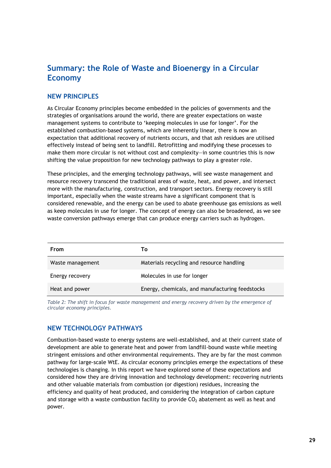# <span id="page-30-0"></span>**Summary: the Role of Waste and Bioenergy in a Circular Economy**

#### <span id="page-30-1"></span>**NEW PRINCIPLES**

As Circular Economy principles become embedded in the policies of governments and the strategies of organisations around the world, there are greater expectations on waste management systems to contribute to 'keeping molecules in use for longer'. For the established combustion-based systems, which are inherently linear, there is now an expectation that additional recovery of nutrients occurs, and that ash residues are utilised effectively instead of being sent to landfill. Retrofitting and modifying these processes to make them more circular is not without cost and complexity—in some countries this is now shifting the value proposition for new technology pathways to play a greater role.

These principles, and the emerging technology pathways, will see waste management and resource recovery transcend the traditional areas of waste, heat, and power, and intersect more with the manufacturing, construction, and transport sectors. Energy recovery is still important, especially when the waste streams have a significant component that is considered renewable, and the energy can be used to abate greenhouse gas emissions as well as keep molecules in use for longer. The concept of energy can also be broadened, as we see waste conversion pathways emerge that can produce energy carriers such as hydrogen.

| From             | Т٥                                              |
|------------------|-------------------------------------------------|
| Waste management | Materials recycling and resource handling       |
| Energy recovery  | Molecules in use for longer                     |
| Heat and power   | Energy, chemicals, and manufacturing feedstocks |

*Table 2: The shift in focus for waste management and energy recovery driven by the emergence of circular economy principles.* 

#### <span id="page-30-2"></span>**NEW TECHNOLOGY PATHWAYS**

Combustion-based waste to energy systems are well-established, and at their current state of development are able to generate heat and power from landfill-bound waste while meeting stringent emissions and other environmental requirements. They are by far the most common pathway for large-scale WtE. As circular economy principles emerge the expectations of these technologies is changing. In this report we have explored some of these expectations and considered how they are driving innovation and technology development: recovering nutrients and other valuable materials from combustion (or digestion) residues, increasing the efficiency and quality of heat produced, and considering the integration of carbon capture and storage with a waste combustion facility to provide  $CO<sub>2</sub>$  abatement as well as heat and power.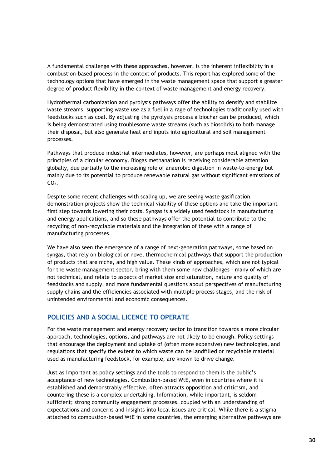A fundamental challenge with these approaches, however, is the inherent inflexibility in a combustion-based process in the context of products. This report has explored some of the technology options that have emerged in the waste management space that support a greater degree of product flexibility in the context of waste management and energy recovery.

Hydrothermal carbonization and pyrolysis pathways offer the ability to densify and stabilize waste streams, supporting waste use as a fuel in a rage of technologies traditionally used with feedstocks such as coal. By adjusting the pyrolysis process a biochar can be produced, which is being demonstrated using troublesome waste streams (such as biosolids) to both manage their disposal, but also generate heat and inputs into agricultural and soil management processes.

Pathways that produce industrial intermediates, however, are perhaps most aligned with the principles of a circular economy. Biogas methanation is receiving considerable attention globally, due partially to the increasing role of anaerobic digestion in waste-to-energy but mainly due to its potential to produce renewable natural gas without significant emissions of  $CO<sub>2</sub>$ .

Despite some recent challenges with scaling up, we are seeing waste gasification demonstration projects show the technical viability of these options and take the important first step towards lowering their costs. Syngas is a widely used feedstock in manufacturing and energy applications, and so these pathways offer the potential to contribute to the recycling of non-recyclable materials and the integration of these with a range of manufacturing processes.

We have also seen the emergence of a range of next-generation pathways, some based on syngas, that rely on biological or novel thermochemical pathways that support the production of products that are niche, and high value. These kinds of approaches, which are not typical for the waste management sector, bring with them some new challenges – many of which are not technical, and relate to aspects of market size and saturation, nature and quality of feedstocks and supply, and more fundamental questions about perspectives of manufacturing supply chains and the efficiencies associated with multiple process stages, and the risk of unintended environmental and economic consequences.

#### <span id="page-31-0"></span>**POLICIES AND A SOCIAL LICENCE TO OPERATE**

For the waste management and energy recovery sector to transition towards a more circular approach, technologies, options, and pathways are not likely to be enough. Policy settings that encourage the deployment and uptake of (often more expensive) new technologies, and regulations that specify the extent to which waste can be landfilled or recyclable material used as manufacturing feedstock, for example, are known to drive change.

Just as important as policy settings and the tools to respond to them is the public's acceptance of new technologies. Combustion-based WtE, even in countries where it is established and demonstrably effective, often attracts opposition and criticism, and countering these is a complex undertaking. Information, while important, is seldom sufficient; strong community engagement processes, coupled with an understanding of expectations and concerns and insights into local issues are critical. While there is a stigma attached to combustion-based WtE in some countries, the emerging alternative pathways are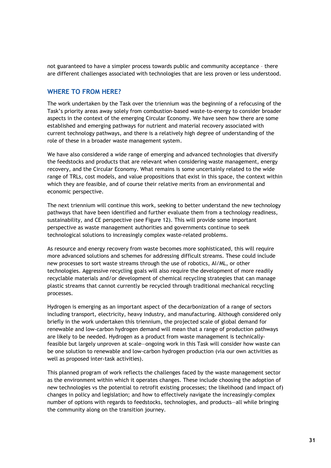not guaranteed to have a simpler process towards public and community acceptance – there are different challenges associated with technologies that are less proven or less understood.

#### <span id="page-32-0"></span>**WHERE TO FROM HERE?**

The work undertaken by the Task over the triennium was the beginning of a refocusing of the Task's priority areas away solely from combustion-based waste-to-energy to consider broader aspects in the context of the emerging Circular Economy. We have seen how there are some established and emerging pathways for nutrient and material recovery associated with current technology pathways, and there is a relatively high degree of understanding of the role of these in a broader waste management system.

We have also considered a wide range of emerging and advanced technologies that diversify the feedstocks and products that are relevant when considering waste management, energy recovery, and the Circular Economy. What remains is some uncertainly related to the wide range of TRLs, cost models, and value propositions that exist in this space, the context within which they are feasible, and of course their relative merits from an environmental and economic perspective.

The next triennium will continue this work, seeking to better understand the new technology pathways that have been identified and further evaluate them from a technology readiness, sustainability, and CE perspective (see [Figure 12\)](#page-33-0). This will provide some important perspective as waste management authorities and governments continue to seek technological solutions to increasingly complex waste-related problems.

As resource and energy recovery from waste becomes more sophisticated, this will require more advanced solutions and schemes for addressing difficult streams. These could include new processes to sort waste streams through the use of robotics, AI/ML, or other technologies. Aggressive recycling goals will also require the development of more readily recyclable materials and/or development of chemical recycling strategies that can manage plastic streams that cannot currently be recycled through traditional mechanical recycling processes.

Hydrogen is emerging as an important aspect of the decarbonization of a range of sectors including transport, electricity, heavy industry, and manufacturing. Although considered only briefly in the work undertaken this triennium, the projected scale of global demand for renewable and low-carbon hydrogen demand will mean that a range of production pathways are likely to be needed. Hydrogen as a product from waste management is technicallyfeasible but largely unproven at scale—ongoing work in this Task will consider how waste can be one solution to renewable and low-carbon hydrogen production (via our own activities as well as proposed inter-task activities).

This planned program of work reflects the challenges faced by the waste management sector as the environment within which it operates changes. These include choosing the adoption of new technologies vs the potential to retrofit existing processes; the likelihood (and impact of) changes in policy and legislation; and how to effectively navigate the increasingly-complex number of options with regards to feedstocks, technologies, and products—all while bringing the community along on the transition journey.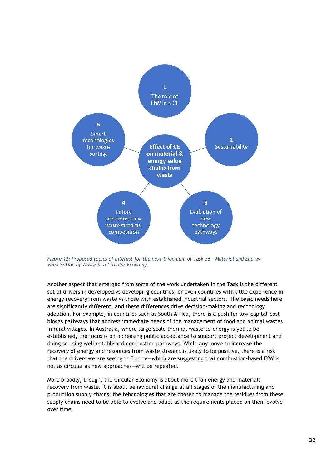

<span id="page-33-0"></span>*Figure 12: Proposed topics of interest for the next triennium of Task 36 – Material and Energy Valorisation of Waste in a Circular Economy.*

Another aspect that emerged from some of the work undertaken in the Task is the different set of drivers in developed vs developing countries, or even countries with little experience in energy recovery from waste vs those with established industrial sectors. The basic needs here are significantly different, and these differences drive decision-making and technology adoption. For example, in countries such as South Africa, there is a push for low-capital-cost biogas pathways that address immediate needs of the management of food and animal wastes in rural villages. In Australia, where large-scale thermal waste-to-energy is yet to be established, the focus is on increasing public acceptance to support project development and doing so using well-established combustion pathways. While any move to increase the recovery of energy and resources from waste streams is likely to be positive, there is a risk that the drivers we are seeing in Europe—which are suggesting that combustion-based EfW is not as circular as new approaches—will be repeated.

More broadly, though, the Circular Economy is about more than energy and materials recovery from waste. It is about behavioural change at all stages of the manufacturing and production supply chains; the tehcnologies that are chosen to manage the residues from these supply chains need to be able to evolve and adapt as the requirements placed on them evolve over time.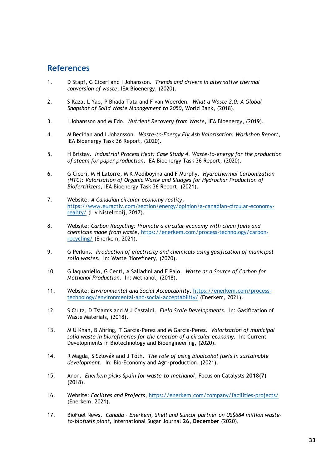### <span id="page-34-0"></span>**References**

- 1. D Stapf, G Ciceri and I Johansson. *Trends and drivers in alternative thermal conversion of waste,* IEA Bioenergy, (2020).
- 2. S Kaza, L Yao, P Bhada-Tata and F van Woerden. *What a Waste 2.0: A Global Snapshot of Solid Waste Management to 2050,* World Bank, (2018).
- 3. I Johansson and M Edo. *Nutrient Recovery from Waste,* IEA Bioenergy, (2019).
- 4. M Becidan and I Johansson. *Waste-to-Energy Fly Ash Valorisation: Workshop Report,* IEA Bioenergy Task 36 Report, (2020).
- 5. H Bristav. *Industrial Process Heat: Case Study 4. Waste-to-energy for the production of steam for paper production,* IEA Bioenergy Task 36 Report, (2020).
- 6. G Ciceri, M H Latorre, M K Mediboyina and F Murphy. *Hydrothermal Carbonization (HTC): Valorisation of Organic Waste and Sludges for Hydrochar Production of Biofertilizers,* IEA Bioenergy Task 36 Report, (2021).
- 7. Website: *A Canadian circular economy reality*, [https://www.euractiv.com/section/energy/opinion/a-canadian-circular-economy](https://www.euractiv.com/section/energy/opinion/a-canadian-circular-economy-reality/)[reality/](https://www.euractiv.com/section/energy/opinion/a-canadian-circular-economy-reality/) (L v Nistelrooij, 2017).
- 8. Website: *Carbon Recycling: Promote a circular economy with clean fuels and chemicals made from waste*, [https://enerkem.com/process-technology/carbon](https://enerkem.com/process-technology/carbon-recycling/)[recycling/](https://enerkem.com/process-technology/carbon-recycling/) (Enerkem, 2021).
- 9. G Perkins. *Production of electricity and chemicals using gasification of municipal solid wastes.* In: Waste Biorefinery, (2020).
- 10. G Iaquaniello, G Centi, A Salladini and E Palo. *Waste as a Source of Carbon for Methanol Production.* In: Methanol, (2018).
- 11. Website: *Environmental and Social Acceptability*, [https://enerkem.com/process](https://enerkem.com/process-technology/environmental-and-social-acceptability/)[technology/environmental-and-social-acceptability/](https://enerkem.com/process-technology/environmental-and-social-acceptability/) (Enerkem, 2021).
- 12. S Ciuta, D Tsiamis and M J Castaldi. *Field Scale Developments.* In: Gasification of Waste Materials, (2018).
- 13. M U Khan, B Ahring, T Garcia-Perez and M Garcia-Perez. *Valorization of municipal solid waste in biorefineries for the creation of a circular economy.* In: Current Developments in Biotechnology and Bioengineering, (2020).
- 14. R Magda, S Szlovák and J Tóth. *The role of using bioalcohol fuels in sustainable development.* In: Bio-Economy and Agri-production, (2021).
- 15. Anon. *Enerkem picks Spain for waste-to-methanol*, Focus on Catalysts **2018(7)** (2018).
- 16. Website: *Facilites and Projects*,<https://enerkem.com/company/facilities-projects/> (Enerkem, 2021).
- 17. BioFuel News. *Canada – Enerkem, Shell and Suncor partner on US\$684 million wasteto-biofuels plant*, International Sugar Journal **26, December** (2020).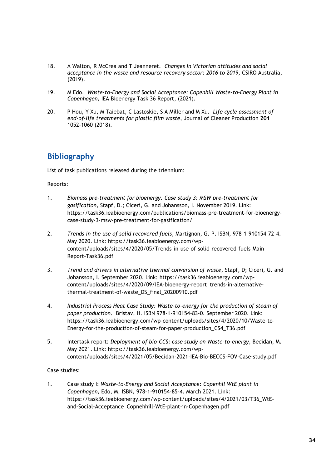- 18. A Walton, R McCrea and T Jeanneret. *Changes in Victorian attitudes and social acceptance in the waste and resource recovery sector: 2016 to 2019,* CSIRO Australia, (2019).
- 19. M Edo. *Waste-to-Energy and Social Acceptance: Copenhill Waste-to-Energy Plant in Copenhagen,* IEA Bioenergy Task 36 Report, (2021).
- 20. P Hou, Y Xu, M Taiebat, C Lastoskie, S A Miller and M Xu. *Life cycle assessment of end-of-life treatments for plastic film waste*, Journal of Cleaner Production **201** 1052-1060 (2018).

# <span id="page-35-0"></span>**Bibliography**

List of task publications released during the triennium:

#### Reports:

- 1. *Biomass pre-treatment for bioenergy. Case study 3: MSW pre-treatment for gasification,* Stapf, D.; Ciceri, G. and Johansson, I. November 2019. Link: [https://task36.ieabioenergy.com/publications/biomass-pre-treatment-for-bioenergy](https://task36.ieabioenergy.com/publications/biomass-pre-treatment-for-bioenergy-case-study-3-msw-pre-treatment-for-gasification/)[case-study-3-msw-pre-treatment-for-gasification/](https://task36.ieabioenergy.com/publications/biomass-pre-treatment-for-bioenergy-case-study-3-msw-pre-treatment-for-gasification/)
- 2. *Trends in the use of solid recovered fuels*, Martignon, G. P. ISBN, 978-1-910154-72-4. May 2020. Link: [https://task36.ieabioenergy.com/wp](https://task36.ieabioenergy.com/wp-content/uploads/sites/4/2020/05/Trends-in-use-of-solid-recovered-fuels-Main-Report-Task36.pdf)[content/uploads/sites/4/2020/05/Trends-in-use-of-solid-recovered-fuels-Main-](https://task36.ieabioenergy.com/wp-content/uploads/sites/4/2020/05/Trends-in-use-of-solid-recovered-fuels-Main-Report-Task36.pdf)[Report-Task36.pdf](https://task36.ieabioenergy.com/wp-content/uploads/sites/4/2020/05/Trends-in-use-of-solid-recovered-fuels-Main-Report-Task36.pdf)
- 3. *Trend and drivers in alternative thermal conversion of waste*, Stapf, D; Ciceri, G. and Johansson, I. September 2020. Link: [https://task36.ieabioenergy.com/wp](https://task36.ieabioenergy.com/wp-content/uploads/sites/4/2020/09/IEA-bioenergy-report_trends-in-alternative-thermal-treatment-of-waste_DS_final_20200910.pdf)[content/uploads/sites/4/2020/09/IEA-bioenergy-report\\_trends-in-alternative](https://task36.ieabioenergy.com/wp-content/uploads/sites/4/2020/09/IEA-bioenergy-report_trends-in-alternative-thermal-treatment-of-waste_DS_final_20200910.pdf)[thermal-treatment-of-waste\\_DS\\_final\\_20200910.pdf](https://task36.ieabioenergy.com/wp-content/uploads/sites/4/2020/09/IEA-bioenergy-report_trends-in-alternative-thermal-treatment-of-waste_DS_final_20200910.pdf)
- 4. *Industrial Process Heat Case Study: Waste-to-energy for the production of steam of paper production.* Bristav, H. ISBN 978-1-910154-83-0. September 2020. Link: [https://task36.ieabioenergy.com/wp-content/uploads/sites/4/2020/10/Waste-to-](https://task36.ieabioenergy.com/wp-content/uploads/sites/4/2020/10/Waste-to-Energy-for-the-production-of-steam-for-paper-production_CS4_T36.pdf)[Energy-for-the-production-of-steam-for-paper-production\\_CS4\\_T36.pdf](https://task36.ieabioenergy.com/wp-content/uploads/sites/4/2020/10/Waste-to-Energy-for-the-production-of-steam-for-paper-production_CS4_T36.pdf)
- 5. Intertask report: *Deployment of bio-CCS: case study on Waste-to-energy*, Becidan, M. May 2021. Link: [https://task36.ieabioenergy.com/wp](https://task36.ieabioenergy.com/wp-content/uploads/sites/4/2021/05/Becidan-2021-IEA-Bio-BECCS-FOV-Case-study.pdf)[content/uploads/sites/4/2021/05/Becidan-2021-IEA-Bio-BECCS-FOV-Case-study.pdf](https://task36.ieabioenergy.com/wp-content/uploads/sites/4/2021/05/Becidan-2021-IEA-Bio-BECCS-FOV-Case-study.pdf)

#### Case studies:

1. Case study I: *Waste-to-Energy and Social Acceptance: Copenhil WtE plant in Copenhagen*, Edo, M. ISBN, 978-1-910154-85-4. March 2021. Link: [https://task36.ieabioenergy.com/wp-content/uploads/sites/4/2021/03/T36\\_WtE](https://task36.ieabioenergy.com/wp-content/uploads/sites/4/2021/03/T36_WtE-and-Social-Acceptance_Copnehhill-WtE-plant-in-Copenhagen.pdf)[and-Social-Acceptance\\_Copnehhill-WtE-plant-in-Copenhagen.pdf](https://task36.ieabioenergy.com/wp-content/uploads/sites/4/2021/03/T36_WtE-and-Social-Acceptance_Copnehhill-WtE-plant-in-Copenhagen.pdf)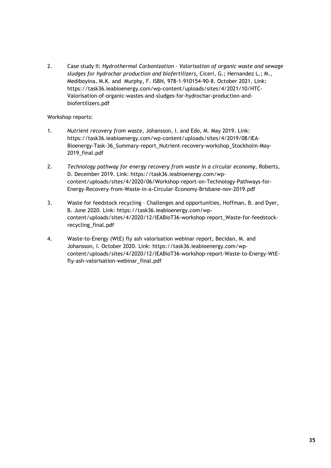2. Case study II: *Hydrothermal Carbonization – Valorisation of organic waste and sewage sludges for hydrochar production and biofertilizers*, Ciceri, G.; Hernandez L.; M., Mediboyina, M.K. and Murphy, F. ISBN, 978-1-910154-90-8. October 2021. Link: [https://task36.ieabioenergy.com/wp-content/uploads/sites/4/2021/10/HTC-](https://task36.ieabioenergy.com/wp-content/uploads/sites/4/2021/10/HTC-Valorisation-of-organic-wastes-and-sludges-for-hydrochar-production-and-biofertilizers.pdf)[Valorisation-of-organic-wastes-and-sludges-for-hydrochar-production-and](https://task36.ieabioenergy.com/wp-content/uploads/sites/4/2021/10/HTC-Valorisation-of-organic-wastes-and-sludges-for-hydrochar-production-and-biofertilizers.pdf)[biofertilizers.pdf](https://task36.ieabioenergy.com/wp-content/uploads/sites/4/2021/10/HTC-Valorisation-of-organic-wastes-and-sludges-for-hydrochar-production-and-biofertilizers.pdf)

Workshop reports:

- 1. *Nutrient recovery from waste,* Johansson, I. and Edo, M. May 2019. Link: [https://task36.ieabioenergy.com/wp-content/uploads/sites/4/2019/08/IEA-](https://task36.ieabioenergy.com/wp-content/uploads/sites/4/2019/08/IEA-Bioenergy-Task-36_Summary-report_Nutrient-recovery-workshop_Stockholm-May-2019_final.pdf)[Bioenergy-Task-36\\_Summary-report\\_Nutrient-recovery-workshop\\_Stockholm-May-](https://task36.ieabioenergy.com/wp-content/uploads/sites/4/2019/08/IEA-Bioenergy-Task-36_Summary-report_Nutrient-recovery-workshop_Stockholm-May-2019_final.pdf)[2019\\_final.pdf](https://task36.ieabioenergy.com/wp-content/uploads/sites/4/2019/08/IEA-Bioenergy-Task-36_Summary-report_Nutrient-recovery-workshop_Stockholm-May-2019_final.pdf)
- 2. *Technology pathway for energy recovery from waste in a circular economy,* Roberts, D. December 2019. Link: [https://task36.ieabioenergy.com/wp](https://task36.ieabioenergy.com/wp-content/uploads/sites/4/2020/06/Workshop-report-on-Technology-Pathways-for-Energy-Recovery-from-Waste-in-a-Circular-Economy-Brisbane-nov-2019.pdf)[content/uploads/sites/4/2020/06/Workshop-report-on-Technology-Pathways-for-](https://task36.ieabioenergy.com/wp-content/uploads/sites/4/2020/06/Workshop-report-on-Technology-Pathways-for-Energy-Recovery-from-Waste-in-a-Circular-Economy-Brisbane-nov-2019.pdf)[Energy-Recovery-from-Waste-in-a-Circular-Economy-Brisbane-nov-2019.pdf](https://task36.ieabioenergy.com/wp-content/uploads/sites/4/2020/06/Workshop-report-on-Technology-Pathways-for-Energy-Recovery-from-Waste-in-a-Circular-Economy-Brisbane-nov-2019.pdf)
- 3. Waste for feedstock recycling Challenges and opportunities, Hoffman, B. and Dyer, B. June 2020. Link: [https://task36.ieabioenergy.com/wp](https://task36.ieabioenergy.com/wp-content/uploads/sites/4/2020/12/IEABioT36-workshop-report_Waste-for-feedstock-recycling_final.pdf)[content/uploads/sites/4/2020/12/IEABioT36-workshop-report\\_Waste-for-feedstock](https://task36.ieabioenergy.com/wp-content/uploads/sites/4/2020/12/IEABioT36-workshop-report_Waste-for-feedstock-recycling_final.pdf)[recycling\\_final.pdf](https://task36.ieabioenergy.com/wp-content/uploads/sites/4/2020/12/IEABioT36-workshop-report_Waste-for-feedstock-recycling_final.pdf)
- 4. Waste-to-Energy (WtE) fly ash valorisation webinar report, Becidan, M. and Johansson, I. October 2020. Link: [https://task36.ieabioenergy.com/wp](https://task36.ieabioenergy.com/wp-content/uploads/sites/4/2020/12/IEABioT36-workshop-report-Waste-to-Energy-WtE-fly-ash-valorisation-webinar_final.pdf)[content/uploads/sites/4/2020/12/IEABioT36-workshop-report-Waste-to-Energy-WtE](https://task36.ieabioenergy.com/wp-content/uploads/sites/4/2020/12/IEABioT36-workshop-report-Waste-to-Energy-WtE-fly-ash-valorisation-webinar_final.pdf)[fly-ash-valorisation-webinar\\_final.pdf](https://task36.ieabioenergy.com/wp-content/uploads/sites/4/2020/12/IEABioT36-workshop-report-Waste-to-Energy-WtE-fly-ash-valorisation-webinar_final.pdf)